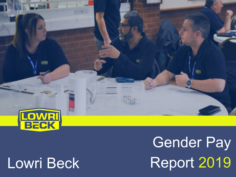

# Lowri Beck

Gender Pay Report 2019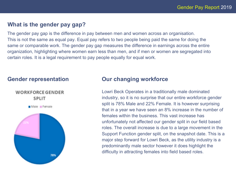# **What is the gender pay gap?**

The gender pay gap is the difference in pay between men and women across an organisation. This is not the same as equal pay. Equal pay refers to two people being paid the same for doing the same or comparable work. The gender pay gap measures the difference in earnings across the entire organization, highlighting where women earn less than men, and if men or women are segregated into certain roles. It is a legal requirement to pay people equally for equal work.

# **Gender representation**

**WORKFORCE GENDER** SPLIT

Male Female



# **Our changing workforce**

Lowri Beck Operates in a traditionally male dominated industry, so it is no surprise that our entire workforce gender split is 78% Male and 22% Female. It is however surprising that in a year we have seen an 8% increase in the number of females within the business. This vast increase has unfortunately not affected our gender split in our field based roles. The overall increase is due to a large movement in the Support Function gender split, on the snapshot date. This is a major step forward for Lowri Beck, as the utility industry is a predominantly male sector however it does highlight the difficulty in attracting females into field based roles.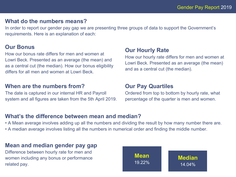# **What do the numbers means?**

In order to report our gender pay gap we are presenting three groups of data to support the Government's requirements. Here is an explanation of each:

# **Our Bonus**

How our bonus rate differs for men and women at Lowri Beck. Presented as an average (the mean) and as a central cut (the median). How our bonus eligibility differs for all men and women at Lowri Beck.

#### **When are the numbers from?**

The date is captured in our internal HR and Payroll system and all figures are taken from the 5th April 2019.

### **Our Hourly Rate**

How our hourly rate differs for men and women at Lowri Beck. Presented as an average (the mean) and as a central cut (the median).

#### **Our Pay Quartiles**

Ordered from top to bottom by hourly rate, what percentage of the quarter is men and women.

# **What's the difference between mean and median?**

• A Mean average involves adding up all the numbers and dividing the result by how many number there are. • A median average involves listing all the numbers in numerical order and finding the middle number.

# **Mean and median gender pay gap**

Difference between hourly rate for men and women including any bonus or performance related pay.

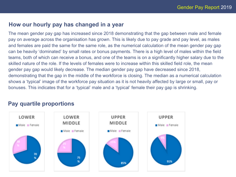# **How our hourly pay has changed in a year**

The mean gender pay gap has increased since 2018 demonstrating that the gap between male and female pay on average across the organisation has grown. This is likely due to pay grade and pay level, as males and females are paid the same for the same role, as the numerical calculation of the mean gender pay gap can be heavily 'dominated' by small rates or bonus payments. There is a high level of males within the field teams, both of which can receive a bonus, and one of the teams is on a significantly higher salary due to the skilled nature of the role. If the levels of females were to increase within this skilled field role, the mean gender pay gap would likely decrease. The median gender pay gap have decreased since 2018, demonstrating that the gap in the middle of the workforce is closing. The median as a numerical calculation shows a 'typical' image of the workforce pay situation as it is not heavily affected by large or small, pay or bonuses. This indicates that for a 'typical' male and a 'typical' female their pay gap is shrinking.

# **Pay quartile proportions**

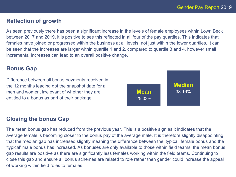# **Reflection of growth**

As seen previously there has been a significant increase in the levels of female employees within Lowri Beck between 2017 and 2019, it is positive to see this reflected in all four of the pay quartiles. This indicates that females have joined or progressed within the business at all levels, not just within the lower quartiles. It can be seen that the increases are larger within quartile 1 and 2, compared to quartile 3 and 4, however small incremental increases can lead to an overall positive change.

#### **Bonus Gap**

Difference between all bonus payments received in the 12 months leading got the snapshot date for all men and women, irrelevant of whether they are entitled to a bonus as part of their package.



# **Closing the bonus Gap**

The mean bonus gap has reduced from the previous year. This is a positive sign as it indicates that the average female is becoming closer to the bonus pay of the average male. It is therefore slightly disappointing that the median gap has increased slightly meaning the difference between the 'typical' female bonus and the 'typical' male bonus has increased. As bonuses are only available to those within field teams, the mean bonus gap results are positive as there are significantly less females working within the field teams. Continuing to close this gap and ensure all bonus schemes are related to role rather then gender could increase the appeal of working within field roles to females.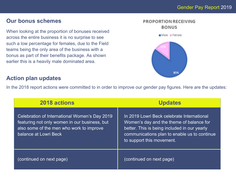# Gender Pay Report 2019

# **Our bonus schemes**

When looking at the proportion of bonuses received across the entire business it is no surprise to see such a low percentage for females, due to the Field teams being the only area of the business with a bonus as part of their benefits package. As shown earlier this is a heavily male dominated area.



In the 2018 report actions were committed to in order to improve our gender pay figures. Here are the updates:

| 2018 actions                                                                                                                                                        | <b>Updates</b>                                                                                                                                                                                                      |
|---------------------------------------------------------------------------------------------------------------------------------------------------------------------|---------------------------------------------------------------------------------------------------------------------------------------------------------------------------------------------------------------------|
| Celebration of International Women's Day 2019<br>featuring not only women in our business, but<br>also some of the men who work to improve<br>balance at Lowri Beck | In 2019 Lowri Beck celebrate International<br>Women's day and the theme of balance for<br>better. This is being included in our yearly<br>communications plan to enable us to continue<br>to support this movement. |
| (continued on next page)                                                                                                                                            | (continued on next page)                                                                                                                                                                                            |



Male Female

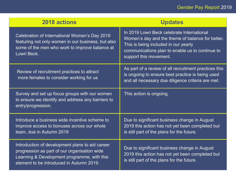# Gender Pay Report 2019

| 2018 actions                                                                                                                                                                               | <b>Updates</b>                                                                                                                                                                                                      |
|--------------------------------------------------------------------------------------------------------------------------------------------------------------------------------------------|---------------------------------------------------------------------------------------------------------------------------------------------------------------------------------------------------------------------|
| Celebration of International Women's Day 2019<br>featuring not only women in our business, but also<br>some of the men who work to improve balance at<br>Lowri Beck.                       | In 2019 Lowri Beck celebrate International<br>Women's day and the theme of balance for better.<br>This is being included in our yearly<br>communications plan to enable us to continue to<br>support this movement. |
| Review of recruitment practices to attract<br>more females to consider working for us                                                                                                      | As part of a review of all recruitment practices this<br>is ongoing to ensure best practice is being used<br>and all necessary due diligence criteria are met.                                                      |
| Survey and set up focus groups with our women<br>to ensure we identify and address any barriers to<br>entry/progression.                                                                   | This action is ongoing.                                                                                                                                                                                             |
| Introduce a business wide incentive scheme to<br>improve access to bonuses across our whole<br>team, due in Autumn 2019                                                                    | Due to significant business change in August<br>2019 this action has not yet been completed but<br>is still part of the plans for the future.                                                                       |
| Introduction of development plans to aid career<br>progression as part of our organisation wide<br>Learning & Development programme, with this<br>element to be introduced in Autumn 2019. | Due to significant business change in August<br>2019 this action has not yet been completed but<br>is still part of the plans for the future.                                                                       |